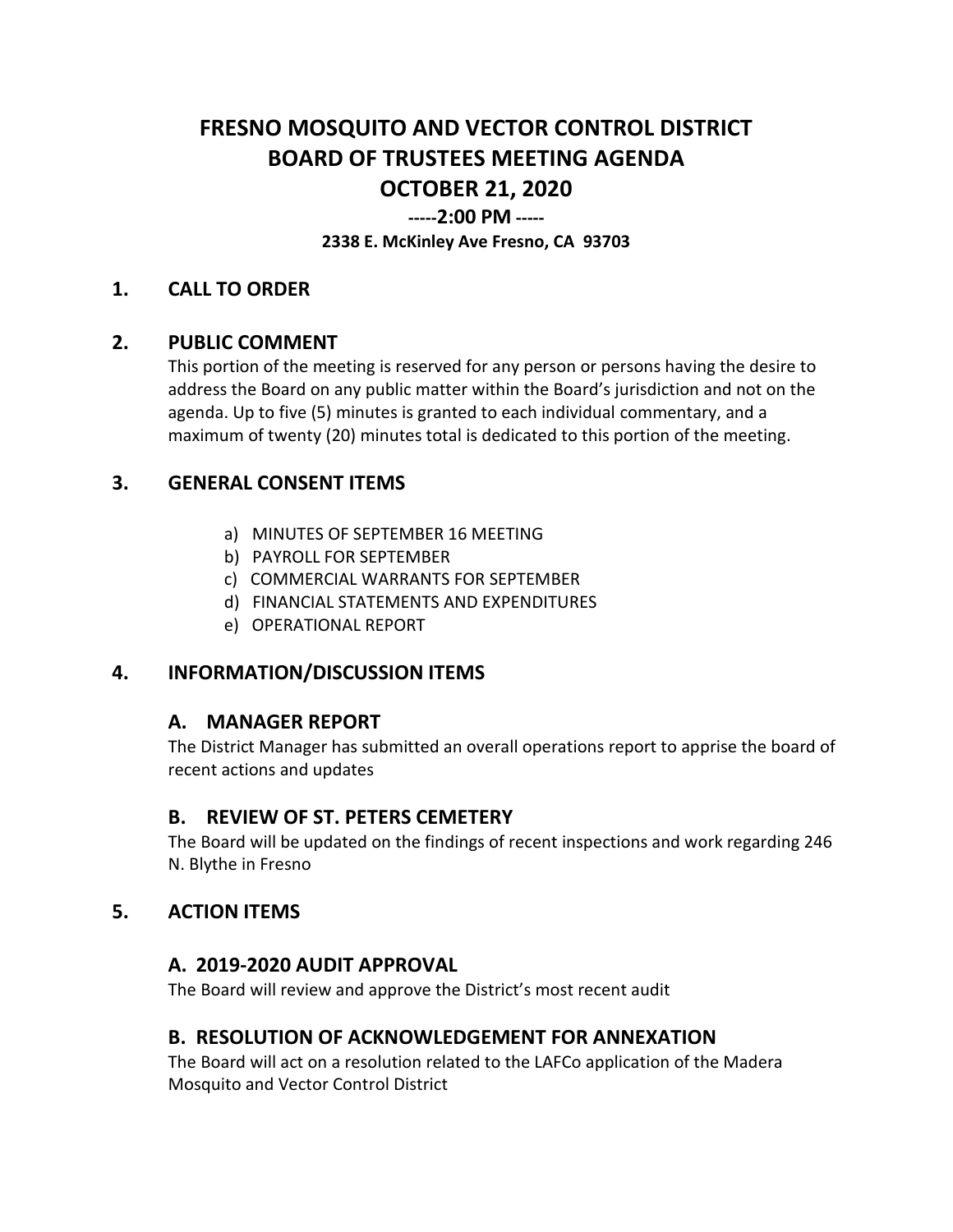# **FRESNO MOSQUITO AND VECTOR CONTROL DISTRICT BOARD OF TRUSTEES MEETING AGENDA OCTOBER 21, 2020**

## **-----2:00 PM -----**

#### **2338 E. McKinley Ave Fresno, CA 93703**

#### **1. CALL TO ORDER**

### **2. PUBLIC COMMENT**

This portion of the meeting is reserved for any person or persons having the desire to address the Board on any public matter within the Board's jurisdiction and not on the agenda. Up to five (5) minutes is granted to each individual commentary, and a maximum of twenty (20) minutes total is dedicated to this portion of the meeting.

## **3. GENERAL CONSENT ITEMS**

- a) MINUTES OF SEPTEMBER 16 MEETING
- b) PAYROLL FOR SEPTEMBER
- c) COMMERCIAL WARRANTS FOR SEPTEMBER
- d) FINANCIAL STATEMENTS AND EXPENDITURES
- e) OPERATIONAL REPORT

## **4. INFORMATION/DISCUSSION ITEMS**

#### **A. MANAGER REPORT**

The District Manager has submitted an overall operations report to apprise the board of recent actions and updates

#### **B. REVIEW OF ST. PETERS CEMETERY**

The Board will be updated on the findings of recent inspections and work regarding 246 N. Blythe in Fresno

#### **5. ACTION ITEMS**

#### **A. 2019-2020 AUDIT APPROVAL**

The Board will review and approve the District's most recent audit

## **B. RESOLUTION OF ACKNOWLEDGEMENT FOR ANNEXATION**

The Board will act on a resolution related to the LAFCo application of the Madera Mosquito and Vector Control District